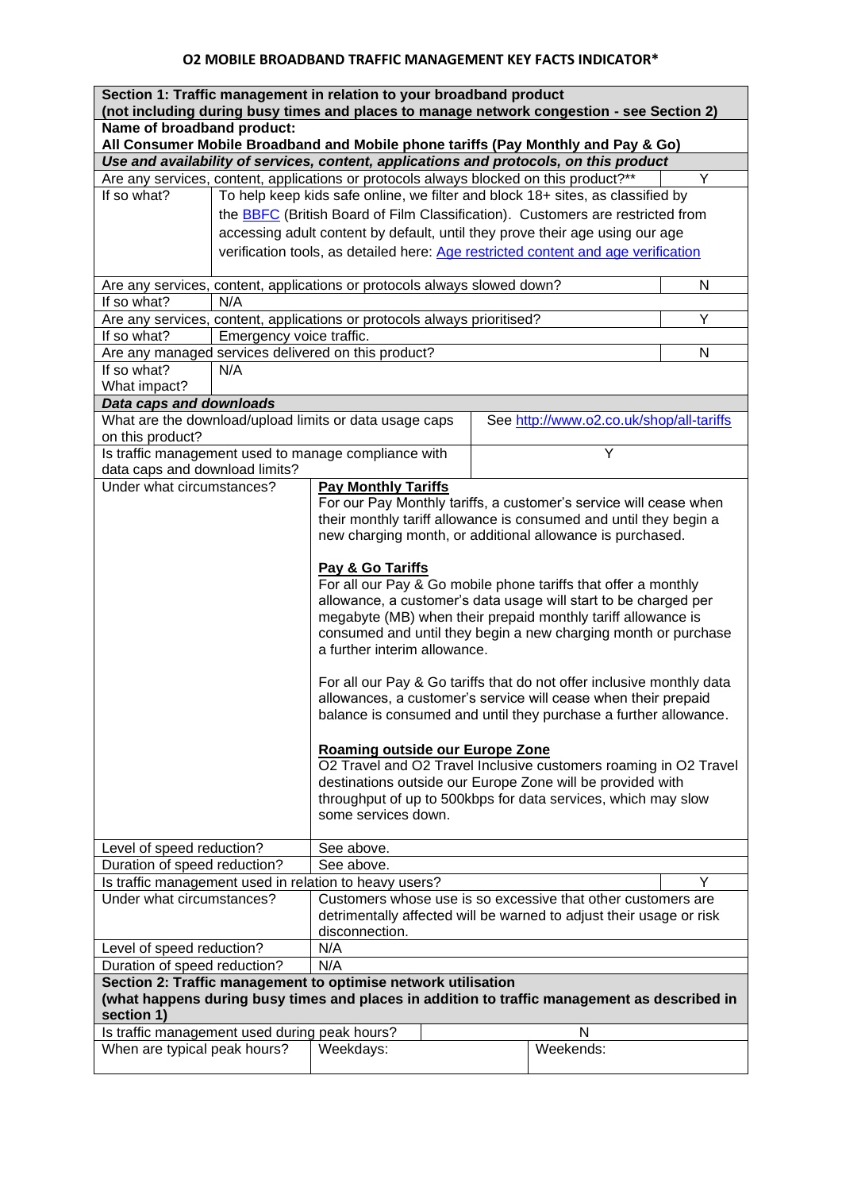| Section 1: Traffic management in relation to your broadband product<br>(not including during busy times and places to manage network congestion - see Section 2) |                                                                                                                             |                                                                                        |  |                                                                       |                                                           |   |  |  |
|------------------------------------------------------------------------------------------------------------------------------------------------------------------|-----------------------------------------------------------------------------------------------------------------------------|----------------------------------------------------------------------------------------|--|-----------------------------------------------------------------------|-----------------------------------------------------------|---|--|--|
| Name of broadband product:<br>All Consumer Mobile Broadband and Mobile phone tariffs (Pay Monthly and Pay & Go)                                                  |                                                                                                                             |                                                                                        |  |                                                                       |                                                           |   |  |  |
|                                                                                                                                                                  |                                                                                                                             | Use and availability of services, content, applications and protocols, on this product |  |                                                                       |                                                           |   |  |  |
|                                                                                                                                                                  |                                                                                                                             | Are any services, content, applications or protocols always blocked on this product?** |  |                                                                       |                                                           | Υ |  |  |
| If so what?                                                                                                                                                      |                                                                                                                             | To help keep kids safe online, we filter and block 18+ sites, as classified by         |  |                                                                       |                                                           |   |  |  |
|                                                                                                                                                                  |                                                                                                                             | the BBFC (British Board of Film Classification). Customers are restricted from         |  |                                                                       |                                                           |   |  |  |
|                                                                                                                                                                  |                                                                                                                             | accessing adult content by default, until they prove their age using our age           |  |                                                                       |                                                           |   |  |  |
|                                                                                                                                                                  |                                                                                                                             |                                                                                        |  |                                                                       |                                                           |   |  |  |
|                                                                                                                                                                  |                                                                                                                             | verification tools, as detailed here: Age restricted content and age verification      |  |                                                                       |                                                           |   |  |  |
|                                                                                                                                                                  |                                                                                                                             | Are any services, content, applications or protocols always slowed down?<br>N          |  |                                                                       |                                                           |   |  |  |
| If so what?                                                                                                                                                      | N/A                                                                                                                         |                                                                                        |  |                                                                       |                                                           |   |  |  |
|                                                                                                                                                                  | Are any services, content, applications or protocols always prioritised?<br>Υ                                               |                                                                                        |  |                                                                       |                                                           |   |  |  |
| If so what?                                                                                                                                                      | Emergency voice traffic.                                                                                                    |                                                                                        |  |                                                                       |                                                           |   |  |  |
|                                                                                                                                                                  | Are any managed services delivered on this product?<br>N                                                                    |                                                                                        |  |                                                                       |                                                           |   |  |  |
| If so what?                                                                                                                                                      | N/A                                                                                                                         |                                                                                        |  |                                                                       |                                                           |   |  |  |
| What impact?                                                                                                                                                     |                                                                                                                             |                                                                                        |  |                                                                       |                                                           |   |  |  |
| Data caps and downloads                                                                                                                                          |                                                                                                                             |                                                                                        |  |                                                                       |                                                           |   |  |  |
|                                                                                                                                                                  |                                                                                                                             | What are the download/upload limits or data usage caps                                 |  |                                                                       | See http://www.o2.co.uk/shop/all-tariffs                  |   |  |  |
| on this product?                                                                                                                                                 |                                                                                                                             |                                                                                        |  |                                                                       | Y                                                         |   |  |  |
| data caps and download limits?                                                                                                                                   |                                                                                                                             | Is traffic management used to manage compliance with                                   |  |                                                                       |                                                           |   |  |  |
| Under what circumstances?                                                                                                                                        |                                                                                                                             | <b>Pay Monthly Tariffs</b>                                                             |  |                                                                       |                                                           |   |  |  |
| For our Pay Monthly tariffs, a customer's service will cease when                                                                                                |                                                                                                                             |                                                                                        |  |                                                                       |                                                           |   |  |  |
|                                                                                                                                                                  | their monthly tariff allowance is consumed and until they begin a                                                           |                                                                                        |  |                                                                       |                                                           |   |  |  |
|                                                                                                                                                                  |                                                                                                                             |                                                                                        |  |                                                                       | new charging month, or additional allowance is purchased. |   |  |  |
|                                                                                                                                                                  |                                                                                                                             |                                                                                        |  |                                                                       |                                                           |   |  |  |
|                                                                                                                                                                  |                                                                                                                             | Pay & Go Tariffs                                                                       |  |                                                                       |                                                           |   |  |  |
|                                                                                                                                                                  | For all our Pay & Go mobile phone tariffs that offer a monthly                                                              |                                                                                        |  |                                                                       |                                                           |   |  |  |
|                                                                                                                                                                  | allowance, a customer's data usage will start to be charged per                                                             |                                                                                        |  |                                                                       |                                                           |   |  |  |
| megabyte (MB) when their prepaid monthly tariff allowance is                                                                                                     |                                                                                                                             |                                                                                        |  |                                                                       |                                                           |   |  |  |
|                                                                                                                                                                  | consumed and until they begin a new charging month or purchase                                                              |                                                                                        |  |                                                                       |                                                           |   |  |  |
|                                                                                                                                                                  |                                                                                                                             | a further interim allowance.                                                           |  |                                                                       |                                                           |   |  |  |
|                                                                                                                                                                  |                                                                                                                             |                                                                                        |  |                                                                       |                                                           |   |  |  |
|                                                                                                                                                                  |                                                                                                                             |                                                                                        |  | For all our Pay & Go tariffs that do not offer inclusive monthly data |                                                           |   |  |  |
|                                                                                                                                                                  | allowances, a customer's service will cease when their prepaid                                                              |                                                                                        |  |                                                                       |                                                           |   |  |  |
|                                                                                                                                                                  | balance is consumed and until they purchase a further allowance.                                                            |                                                                                        |  |                                                                       |                                                           |   |  |  |
|                                                                                                                                                                  |                                                                                                                             |                                                                                        |  |                                                                       |                                                           |   |  |  |
|                                                                                                                                                                  | Roaming outside our Europe Zone<br>O2 Travel and O2 Travel Inclusive customers roaming in O2 Travel                         |                                                                                        |  |                                                                       |                                                           |   |  |  |
|                                                                                                                                                                  |                                                                                                                             |                                                                                        |  |                                                                       |                                                           |   |  |  |
|                                                                                                                                                                  | destinations outside our Europe Zone will be provided with<br>throughput of up to 500kbps for data services, which may slow |                                                                                        |  |                                                                       |                                                           |   |  |  |
| some services down.                                                                                                                                              |                                                                                                                             |                                                                                        |  |                                                                       |                                                           |   |  |  |
|                                                                                                                                                                  |                                                                                                                             |                                                                                        |  |                                                                       |                                                           |   |  |  |
| Level of speed reduction?                                                                                                                                        | See above.                                                                                                                  |                                                                                        |  |                                                                       |                                                           |   |  |  |
| See above.<br>Duration of speed reduction?                                                                                                                       |                                                                                                                             |                                                                                        |  |                                                                       |                                                           |   |  |  |
| Y<br>Is traffic management used in relation to heavy users?                                                                                                      |                                                                                                                             |                                                                                        |  |                                                                       |                                                           |   |  |  |
| Under what circumstances?                                                                                                                                        |                                                                                                                             | Customers whose use is so excessive that other customers are                           |  |                                                                       |                                                           |   |  |  |
|                                                                                                                                                                  |                                                                                                                             | detrimentally affected will be warned to adjust their usage or risk                    |  |                                                                       |                                                           |   |  |  |
|                                                                                                                                                                  |                                                                                                                             | disconnection.                                                                         |  |                                                                       |                                                           |   |  |  |
| N/A<br>Level of speed reduction?                                                                                                                                 |                                                                                                                             |                                                                                        |  |                                                                       |                                                           |   |  |  |
| Duration of speed reduction?<br>N/A                                                                                                                              |                                                                                                                             |                                                                                        |  |                                                                       |                                                           |   |  |  |
| Section 2: Traffic management to optimise network utilisation<br>(what happens during busy times and places in addition to traffic management as described in    |                                                                                                                             |                                                                                        |  |                                                                       |                                                           |   |  |  |
|                                                                                                                                                                  |                                                                                                                             |                                                                                        |  |                                                                       |                                                           |   |  |  |
| section 1)                                                                                                                                                       |                                                                                                                             |                                                                                        |  |                                                                       |                                                           |   |  |  |
| Is traffic management used during peak hours?                                                                                                                    |                                                                                                                             |                                                                                        |  |                                                                       | N                                                         |   |  |  |
| When are typical peak hours?                                                                                                                                     |                                                                                                                             | Weekdays:                                                                              |  |                                                                       | Weekends:                                                 |   |  |  |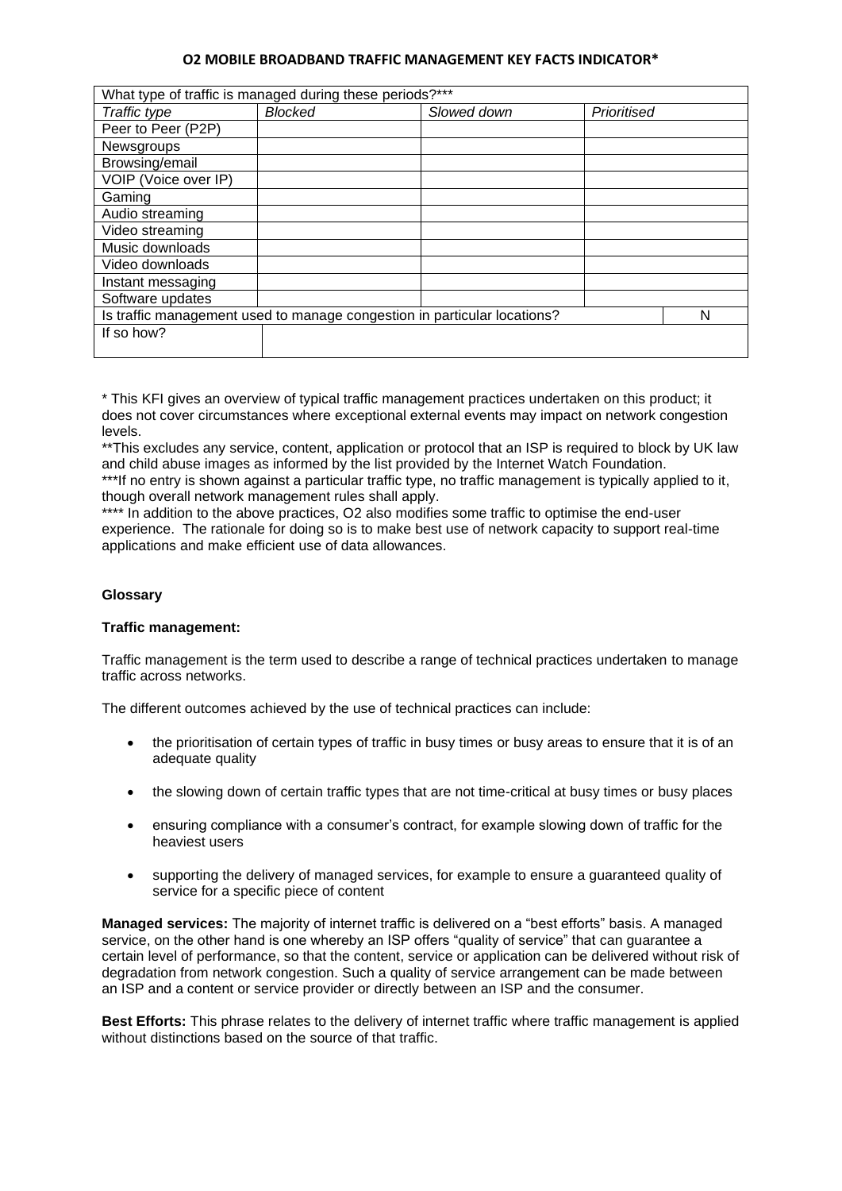## **O2 MOBILE BROADBAND TRAFFIC MANAGEMENT KEY FACTS INDICATOR\***

| What type of traffic is managed during these periods?***                 |         |             |             |  |  |  |
|--------------------------------------------------------------------------|---------|-------------|-------------|--|--|--|
| Traffic type                                                             | Blocked | Slowed down | Prioritised |  |  |  |
| Peer to Peer (P2P)                                                       |         |             |             |  |  |  |
| Newsgroups                                                               |         |             |             |  |  |  |
| Browsing/email                                                           |         |             |             |  |  |  |
| VOIP (Voice over IP)                                                     |         |             |             |  |  |  |
| Gaming                                                                   |         |             |             |  |  |  |
| Audio streaming                                                          |         |             |             |  |  |  |
| Video streaming                                                          |         |             |             |  |  |  |
| Music downloads                                                          |         |             |             |  |  |  |
| Video downloads                                                          |         |             |             |  |  |  |
| Instant messaging                                                        |         |             |             |  |  |  |
| Software updates                                                         |         |             |             |  |  |  |
| Is traffic management used to manage congestion in particular locations? |         |             |             |  |  |  |
| If so how?                                                               |         |             |             |  |  |  |
|                                                                          |         |             |             |  |  |  |

\* This KFI gives an overview of typical traffic management practices undertaken on this product; it does not cover circumstances where exceptional external events may impact on network congestion levels.

\*\*This excludes any service, content, application or protocol that an ISP is required to block by UK law and child abuse images as informed by the list provided by the Internet Watch Foundation.

\*\*\*If no entry is shown against a particular traffic type, no traffic management is typically applied to it, though overall network management rules shall apply.

\*\*\*\* In addition to the above practices, O2 also modifies some traffic to optimise the end-user experience. The rationale for doing so is to make best use of network capacity to support real-time applications and make efficient use of data allowances.

## **Glossary**

## **Traffic management:**

Traffic management is the term used to describe a range of technical practices undertaken to manage traffic across networks.

The different outcomes achieved by the use of technical practices can include:

- the prioritisation of certain types of traffic in busy times or busy areas to ensure that it is of an adequate quality
- the slowing down of certain traffic types that are not time-critical at busy times or busy places
- ensuring compliance with a consumer's contract, for example slowing down of traffic for the heaviest users
- supporting the delivery of managed services, for example to ensure a guaranteed quality of service for a specific piece of content

**Managed services:** The majority of internet traffic is delivered on a "best efforts" basis. A managed service, on the other hand is one whereby an ISP offers "quality of service" that can guarantee a certain level of performance, so that the content, service or application can be delivered without risk of degradation from network congestion. Such a quality of service arrangement can be made between an ISP and a content or service provider or directly between an ISP and the consumer.

**Best Efforts:** This phrase relates to the delivery of internet traffic where traffic management is applied without distinctions based on the source of that traffic.